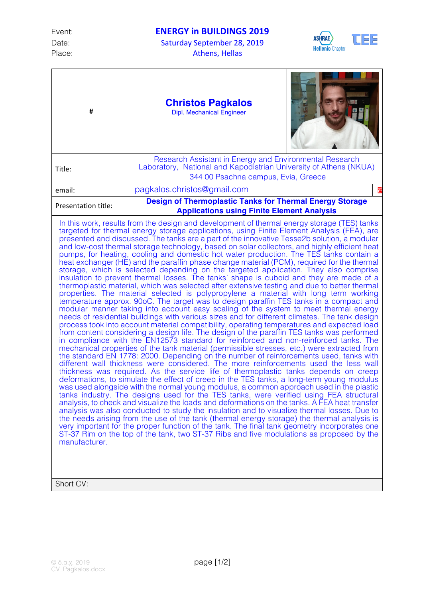Place: Athens, Hellas

Date: Saturday September 28, 2019



| #                                                                                                                                                                                                                                                                                                                                                                                                                                                                                                                                                                                                                                                                                                                                                                                                                                                                                                                                                                                                                                                                                                                                                                                                                                                                                                                                                                                                                                                                                                                                                                                                                                                                                                                                                                                                                                                                                                                                                                                                                                                                                                                                                                                                                                                                                                                                                                                                                                                                                                                                                                                                                                                                                                                                                              | <b>Christos Pagkalos</b><br><b>Dipl. Mechanical Engineer</b>                                                                                                        |   |  |
|----------------------------------------------------------------------------------------------------------------------------------------------------------------------------------------------------------------------------------------------------------------------------------------------------------------------------------------------------------------------------------------------------------------------------------------------------------------------------------------------------------------------------------------------------------------------------------------------------------------------------------------------------------------------------------------------------------------------------------------------------------------------------------------------------------------------------------------------------------------------------------------------------------------------------------------------------------------------------------------------------------------------------------------------------------------------------------------------------------------------------------------------------------------------------------------------------------------------------------------------------------------------------------------------------------------------------------------------------------------------------------------------------------------------------------------------------------------------------------------------------------------------------------------------------------------------------------------------------------------------------------------------------------------------------------------------------------------------------------------------------------------------------------------------------------------------------------------------------------------------------------------------------------------------------------------------------------------------------------------------------------------------------------------------------------------------------------------------------------------------------------------------------------------------------------------------------------------------------------------------------------------------------------------------------------------------------------------------------------------------------------------------------------------------------------------------------------------------------------------------------------------------------------------------------------------------------------------------------------------------------------------------------------------------------------------------------------------------------------------------------------------|---------------------------------------------------------------------------------------------------------------------------------------------------------------------|---|--|
| Title:                                                                                                                                                                                                                                                                                                                                                                                                                                                                                                                                                                                                                                                                                                                                                                                                                                                                                                                                                                                                                                                                                                                                                                                                                                                                                                                                                                                                                                                                                                                                                                                                                                                                                                                                                                                                                                                                                                                                                                                                                                                                                                                                                                                                                                                                                                                                                                                                                                                                                                                                                                                                                                                                                                                                                         | Research Assistant in Energy and Environmental Research<br>Laboratory, National and Kapodistrian University of Athens (NKUA)<br>344 00 Psachna campus, Evia, Greece |   |  |
| email:                                                                                                                                                                                                                                                                                                                                                                                                                                                                                                                                                                                                                                                                                                                                                                                                                                                                                                                                                                                                                                                                                                                                                                                                                                                                                                                                                                                                                                                                                                                                                                                                                                                                                                                                                                                                                                                                                                                                                                                                                                                                                                                                                                                                                                                                                                                                                                                                                                                                                                                                                                                                                                                                                                                                                         | pagkalos.christos@gmail.com                                                                                                                                         | Â |  |
| Presentation title:                                                                                                                                                                                                                                                                                                                                                                                                                                                                                                                                                                                                                                                                                                                                                                                                                                                                                                                                                                                                                                                                                                                                                                                                                                                                                                                                                                                                                                                                                                                                                                                                                                                                                                                                                                                                                                                                                                                                                                                                                                                                                                                                                                                                                                                                                                                                                                                                                                                                                                                                                                                                                                                                                                                                            | <b>Design of Thermoplastic Tanks for Thermal Energy Storage</b>                                                                                                     |   |  |
| <b>Applications using Finite Element Analysis</b><br>In this work, results from the design and development of thermal energy storage (TES) tanks<br>targeted for thermal energy storage applications, using Finite Element Analysis (FEA), are<br>presented and discussed. The tanks are a part of the innovative Tesse2b solution, a modular<br>and low-cost thermal storage technology, based on solar collectors, and highly efficient heat<br>pumps, for heating, cooling and domestic hot water production. The TES tanks contain a<br>heat exchanger (HE) and the paraffin phase change material (PCM), required for the thermal<br>storage, which is selected depending on the targeted application. They also comprise<br>insulation to prevent thermal losses. The tanks' shape is cuboid and they are made of a<br>thermoplastic material, which was selected after extensive testing and due to better thermal<br>properties. The material selected is polypropylene a material with long term working<br>temperature approx. 90oC. The target was to design paraffin TES tanks in a compact and<br>modular manner taking into account easy scaling of the system to meet thermal energy<br>needs of residential buildings with various sizes and for different climates. The tank design<br>process took into account material compatibility, operating temperatures and expected load<br>from content considering a design life. The design of the paraffin TES tanks was performed<br>in compliance with the EN12573 standard for reinforced and non-reinforced tanks. The<br>mechanical properties of the tank material (permissible stresses, etc.) were extracted from<br>the standard EN 1778: 2000. Depending on the number of reinforcements used, tanks with<br>different wall thickness were considered. The more reinforcements used the less wall<br>thickness was required. As the service life of thermoplastic tanks depends on creep<br>deformations, to simulate the effect of creep in the TES tanks, a long-term young modulus<br>was used alongside with the normal young modulus, a common approach used in the plastic<br>tanks industry. The designs used for the TES tanks, were verified using FEA structural<br>analysis, to check and visualize the loads and deformations on the tanks. A FEA heat transfer<br>analysis was also conducted to study the insulation and to visualize thermal losses. Due to<br>the needs arising from the use of the tank (thermal energy storage) the thermal analysis is<br>very important for the proper function of the tank. The final tank geometry incorporates one<br>ST-37 Rim on the top of the tank, two ST-37 Ribs and five modulations as proposed by the<br>manufacturer. |                                                                                                                                                                     |   |  |